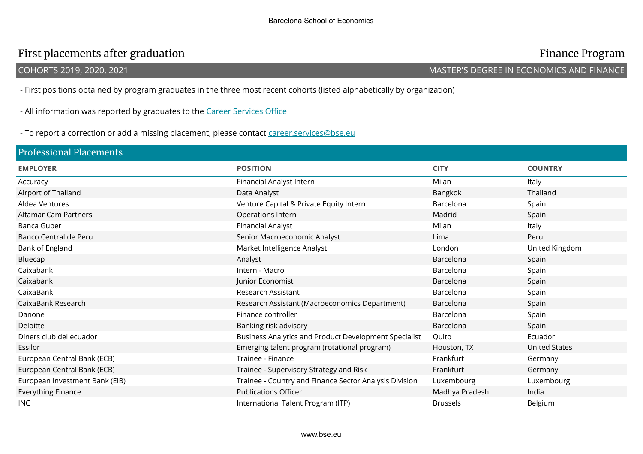## First placements after graduation **Finance Program** Finance Program

## COHORTS 2019, 2020, 2021 MASTER'S DEGREE IN ECONOMICS AND FINANCE

- First positions obtained by program graduates in the three most recent cohorts (listed alphabetically by organization)

- All information was reported by graduates to the Career Services Office

- To report a correction or add a missing placement, please contact career.services@bse.eu

| <b>Professional Placements</b> |                                                        |                 |                      |  |  |
|--------------------------------|--------------------------------------------------------|-----------------|----------------------|--|--|
| <b>EMPLOYER</b>                | <b>POSITION</b>                                        | <b>CITY</b>     | <b>COUNTRY</b>       |  |  |
| Accuracy                       | Financial Analyst Intern                               | Milan           | Italy                |  |  |
| Airport of Thailand            | Data Analyst                                           | Bangkok         | Thailand             |  |  |
| Aldea Ventures                 | Venture Capital & Private Equity Intern                | Barcelona       | Spain                |  |  |
| <b>Altamar Cam Partners</b>    | Operations Intern                                      | Madrid          | Spain                |  |  |
| Banca Guber                    | <b>Financial Analyst</b>                               | Milan           | Italy                |  |  |
| Banco Central de Peru          | Senior Macroeconomic Analyst                           | Lima            | Peru                 |  |  |
| Bank of England                | Market Intelligence Analyst                            | London          | United Kingdom       |  |  |
| Bluecap                        | Analyst                                                | Barcelona       | Spain                |  |  |
| Caixabank                      | Intern - Macro                                         | Barcelona       | Spain                |  |  |
| Caixabank                      | Junior Economist                                       | Barcelona       | Spain                |  |  |
| CaixaBank                      | Research Assistant                                     | Barcelona       | Spain                |  |  |
| CaixaBank Research             | Research Assistant (Macroeconomics Department)         | Barcelona       | Spain                |  |  |
| Danone                         | Finance controller                                     | Barcelona       | Spain                |  |  |
| Deloitte                       | Banking risk advisory                                  | Barcelona       | Spain                |  |  |
| Diners club del ecuador        | Business Analytics and Product Development Specialist  | Quito           | Ecuador              |  |  |
| Essilor                        | Emerging talent program (rotational program)           | Houston, TX     | <b>United States</b> |  |  |
| European Central Bank (ECB)    | Trainee - Finance                                      | Frankfurt       | Germany              |  |  |
| European Central Bank (ECB)    | Trainee - Supervisory Strategy and Risk                | Frankfurt       | Germany              |  |  |
| European Investment Bank (EIB) | Trainee - Country and Finance Sector Analysis Division | Luxembourg      | Luxembourg           |  |  |
| Everything Finance             | <b>Publications Officer</b>                            | Madhya Pradesh  | India                |  |  |
| ING.                           | International Talent Program (ITP)                     | <b>Brussels</b> | Belgium              |  |  |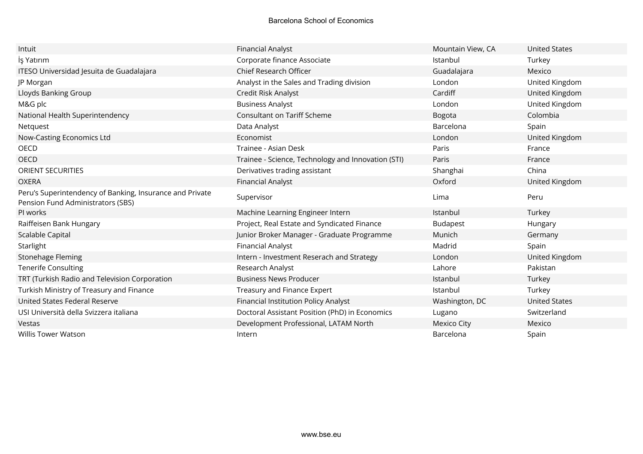| Intuit                                                                                        | Financial Analyst                                  | Mountain View, CA  | <b>United States</b> |
|-----------------------------------------------------------------------------------------------|----------------------------------------------------|--------------------|----------------------|
| İş Yatırım                                                                                    | Corporate finance Associate                        | Istanbul           | Turkey               |
| ITESO Universidad Jesuita de Guadalajara                                                      | Chief Research Officer                             | Guadalajara        | Mexico               |
| JP Morgan                                                                                     | Analyst in the Sales and Trading division          | London             | United Kingdom       |
| Lloyds Banking Group                                                                          | Credit Risk Analyst                                | Cardiff            | United Kingdom       |
| M&G plc                                                                                       | <b>Business Analyst</b>                            | London             | United Kingdom       |
| National Health Superintendency                                                               | <b>Consultant on Tariff Scheme</b>                 | <b>Bogota</b>      | Colombia             |
| Netquest                                                                                      | Data Analyst                                       | Barcelona          | Spain                |
| Now-Casting Economics Ltd                                                                     | Economist                                          | London             | United Kingdom       |
| OECD                                                                                          | Trainee - Asian Desk                               | Paris              | France               |
| <b>OECD</b>                                                                                   | Trainee - Science, Technology and Innovation (STI) | Paris              | France               |
| <b>ORIENT SECURITIES</b>                                                                      | Derivatives trading assistant                      | Shanghai           | China                |
| <b>OXERA</b>                                                                                  | <b>Financial Analyst</b>                           | Oxford             | United Kingdom       |
| Peru's Superintendency of Banking, Insurance and Private<br>Pension Fund Administrators (SBS) | Supervisor                                         | Lima               | Peru                 |
| PI works                                                                                      | Machine Learning Engineer Intern                   | Istanbul           | Turkey               |
| Raiffeisen Bank Hungary                                                                       | Project, Real Estate and Syndicated Finance        | <b>Budapest</b>    | Hungary              |
| Scalable Capital                                                                              | Junior Broker Manager - Graduate Programme         | Munich             | Germany              |
| Starlight                                                                                     | Financial Analyst                                  | Madrid             | Spain                |
| Stonehage Fleming                                                                             | Intern - Investment Reserach and Strategy          | London             | United Kingdom       |
| <b>Tenerife Consulting</b>                                                                    | Research Analyst                                   | Lahore             | Pakistan             |
| TRT (Turkish Radio and Television Corporation                                                 | <b>Business News Producer</b>                      | Istanbul           | Turkey               |
| Turkish Ministry of Treasury and Finance                                                      | Treasury and Finance Expert                        | Istanbul           | Turkey               |
| United States Federal Reserve                                                                 | Financial Institution Policy Analyst               | Washington, DC     | <b>United States</b> |
| USI Università della Svizzera italiana                                                        | Doctoral Assistant Position (PhD) in Economics     | Lugano             | Switzerland          |
| Vestas                                                                                        | Development Professional, LATAM North              | <b>Mexico City</b> | Mexico               |
| <b>Willis Tower Watson</b>                                                                    | Intern                                             | Barcelona          | Spain                |